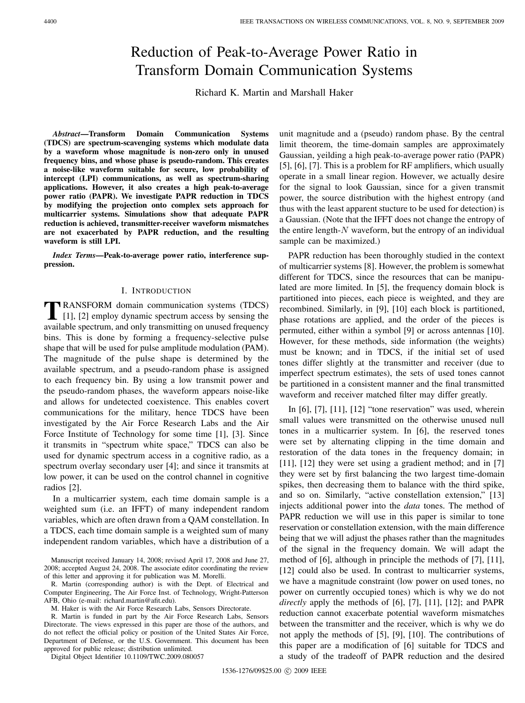# Reduction of Peak-to-Average Power Ratio in Transform Domain Communication Systems

Richard K. Martin and Marshall Haker

*Abstract***—Transform Domain Communication Systems (TDCS) are spectrum-scavenging systems which modulate data by a waveform whose magnitude is non-zero only in unused frequency bins, and whose phase is pseudo-random. This creates a noise-like waveform suitable for secure, low probability of intercept (LPI) communications, as well as spectrum-sharing applications. However, it also creates a high peak-to-average power ratio (PAPR). We investigate PAPR reduction in TDCS by modifying the projection onto complex sets approach for multicarrier systems. Simulations show that adequate PAPR reduction is achieved, transmitter-receiver waveform mismatches are not exacerbated by PAPR reduction, and the resulting waveform is still LPI.**

*Index Terms***—Peak-to-average power ratio, interference suppression.**

## I. INTRODUCTION

**TRANSFORM** domain communication systems (TDCS)  $[1]$ ,  $[2]$  employ dynamic spectrum access by sensing the available spectrum, and only transmitting on unused frequency bins. This is done by forming a frequency-selective pulse shape that will be used for pulse amplitude modulation (PAM). The magnitude of the pulse shape is determined by the available spectrum, and a pseudo-random phase is assigned to each frequency bin. By using a low transmit power and the pseudo-random phases, the waveform appears noise-like and allows for undetected coexistence. This enables covert communications for the military, hence TDCS have been investigated by the Air Force Research Labs and the Air Force Institute of Technology for some time [1], [3]. Since it transmits in "spectrum white space," TDCS can also be used for dynamic spectrum access in a cognitive radio, as a spectrum overlay secondary user [4]; and since it transmits at low power, it can be used on the control channel in cognitive radios [2].

In a multicarrier system, each time domain sample is a weighted sum (i.e. an IFFT) of many independent random variables, which are often drawn from a QAM constellation. In a TDCS, each time domain sample is a weighted sum of many independent random variables, which have a distribution of a

M. Haker is with the Air Force Research Labs, Sensors Directorate.

R. Martin is funded in part by the Air Force Research Labs, Sensors Directorate. The views expressed in this paper are those of the authors, and do not reflect the official policy or position of the United States Air Force, Department of Defense, or the U.S. Government. This document has been approved for public release; distribution unlimited.

Digital Object Identifier 10.1109/TWC.2009.080057

unit magnitude and a (pseudo) random phase. By the central limit theorem, the time-domain samples are approximately Gaussian, yeilding a high peak-to-average power ratio (PAPR) [5], [6], [7]. This is a problem for RF amplifiers, which usually operate in a small linear region. However, we actually desire for the signal to look Gaussian, since for a given transmit power, the source distribution with the highest entropy (and thus with the least apparent stucture to be used for detection) is a Gaussian. (Note that the IFFT does not change the entropy of the entire length- $N$  waveform, but the entropy of an individual sample can be maximized.)

PAPR reduction has been thoroughly studied in the context of multicarrier systems [8]. However, the problem is somewhat different for TDCS, since the resources that can be manipulated are more limited. In [5], the frequency domain block is partitioned into pieces, each piece is weighted, and they are recombined. Similarly, in [9], [10] each block is partitioned, phase rotations are applied, and the order of the pieces is permuted, either within a symbol [9] or across antennas [10]. However, for these methods, side information (the weights) must be known; and in TDCS, if the initial set of used tones differ slightly at the transmitter and receiver (due to imperfect spectrum estimates), the sets of used tones cannot be partitioned in a consistent manner and the final transmitted waveform and receiver matched filter may differ greatly.

In [6], [7], [11], [12] "tone reservation" was used, wherein small values were transmitted on the otherwise unused null tones in a multicarrier system. In [6], the reserved tones were set by alternating clipping in the time domain and restoration of the data tones in the frequency domain; in [11], [12] they were set using a gradient method; and in [7] they were set by first balancing the two largest time-domain spikes, then decreasing them to balance with the third spike, and so on. Similarly, "active constellation extension," [13] injects additional power into the *data* tones. The method of PAPR reduction we will use in this paper is similar to tone reservation or constellation extension, with the main difference being that we will adjust the phases rather than the magnitudes of the signal in the frequency domain. We will adapt the method of [6], although in principle the methods of [7], [11], [12] could also be used. In contrast to multicarrier systems, we have a magnitude constraint (low power on used tones, no power on currently occupied tones) which is why we do not *directly* apply the methods of [6], [7], [11], [12]; and PAPR reduction cannot exacerbate potential waveform mismatches between the transmitter and the receiver, which is why we do not apply the methods of [5], [9], [10]. The contributions of this paper are a modification of [6] suitable for TDCS and a study of the tradeoff of PAPR reduction and the desired

Manuscript received January 14, 2008; revised April 17, 2008 and June 27, 2008; accepted August 24, 2008. The associate editor coordinating the review of this letter and approving it for publication was M. Morelli.

R. Martin (corresponding author) is with the Dept. of Electrical and Computer Engineering, The Air Force Inst. of Technology, Wright-Patterson AFB, Ohio (e-mail: richard.martin@afit.edu).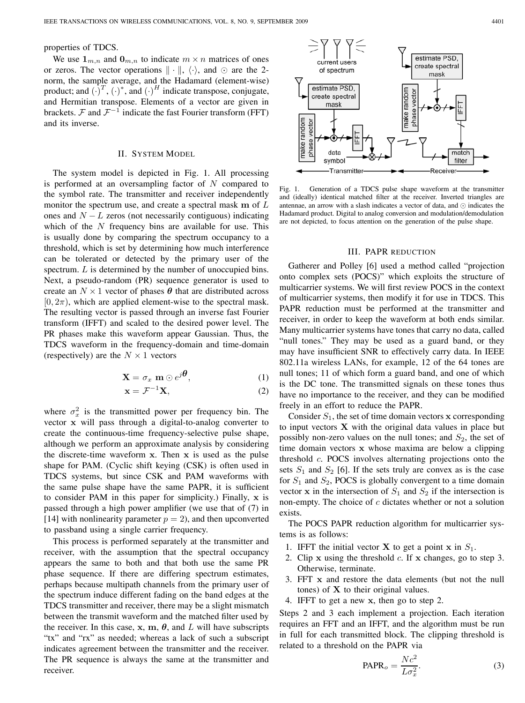# properties of TDCS.

We use  $\mathbf{1}_{m,n}$  and  $\mathbf{0}_{m,n}$  to indicate  $m \times n$  matrices of ones or zeros. The vector operations  $\|\cdot\|$ ,  $\langle \cdot \rangle$ , and  $\odot$  are the 2norm, the sample average, and the Hadamard (element-wise) product; and  $(\cdot)^T$ ,  $(\cdot)^*$ , and  $(\cdot)^H$  indicate transpose, conjugate, and Hermitian transpose. Elements of a vector are given in brackets.  $\mathcal F$  and  $\mathcal F^{-1}$  indicate the fast Fourier transform (FFT) and its inverse.

#### II. SYSTEM MODEL

The system model is depicted in Fig. 1. All processing is performed at an oversampling factor of  $N$  compared to the symbol rate. The transmitter and receiver independently monitor the spectrum use, and create a spectral mask **m** of ones and  $N - L$  zeros (not necessarily contiguous) indicating which of the  $N$  frequency bins are available for use. This is usually done by comparing the spectrum occupancy to a threshold, which is set by determining how much interference can be tolerated or detected by the primary user of the spectrum.  $L$  is determined by the number of unoccupied bins. Next, a pseudo-random (PR) sequence generator is used to create an  $N \times 1$  vector of phases  $\theta$  that are distributed across  $[0, 2\pi)$ , which are applied element-wise to the spectral mask. The resulting vector is passed through an inverse fast Fourier transform (IFFT) and scaled to the desired power level. The PR phases make this waveform appear Gaussian. Thus, the TDCS waveform in the frequency-domain and time-domain (respectively) are the  $N \times 1$  vectors

$$
\mathbf{X} = \sigma_x \mathbf{m} \odot e^{j\boldsymbol{\theta}}, \tag{1}
$$

$$
\mathbf{x} = \mathcal{F}^{-1}\mathbf{X},\tag{2}
$$

where  $\sigma_x^2$  is the transmitted power per frequency bin. The vector **x** will pass through a digital-to-analog converter to create the continuous-time frequency-selective pulse shape, although we perform an approximate analysis by considering the discrete-time waveform **x**. Then **x** is used as the pulse shape for PAM. (Cyclic shift keying (CSK) is often used in TDCS systems, but since CSK and PAM waveforms with the same pulse shape have the same PAPR, it is sufficient to consider PAM in this paper for simplicity.) Finally, **x** is passed through a high power amplifier (we use that of (7) in [14] with nonlinearity parameter  $p = 2$ ), and then upconverted to passband using a single carrier frequency.

This process is performed separately at the transmitter and receiver, with the assumption that the spectral occupancy appears the same to both and that both use the same PR phase sequence. If there are differing spectrum estimates, perhaps because multipath channels from the primary user of the spectrum induce different fading on the band edges at the TDCS transmitter and receiver, there may be a slight mismatch between the transmit waveform and the matched filter used by the receiver. In this case,  $x$ ,  $m$ ,  $\theta$ , and  $L$  will have subscripts "tx" and "rx" as needed; whereas a lack of such a subscript indicates agreement between the transmitter and the receiver. The PR sequence is always the same at the transmitter and receiver.



Fig. 1. Generation of a TDCS pulse shape waveform at the transmitter and (ideally) identical matched filter at the receiver. Inverted triangles are antennae, an arrow with a slash indicates a vector of data, and ⊙ indicates the Hadamard product. Digital to analog conversion and modulation/demodulation are not depicted, to focus attention on the generation of the pulse shape.

## III. PAPR REDUCTION

Gatherer and Polley [6] used a method called "projection onto complex sets (POCS)" which exploits the structure of multicarrier systems. We will first review POCS in the context of multicarrier systems, then modify it for use in TDCS. This PAPR reduction must be performed at the transmitter and receiver, in order to keep the waveform at both ends similar. Many multicarrier systems have tones that carry no data, called "null tones." They may be used as a guard band, or they may have insufficient SNR to effectively carry data. In IEEE 802.11a wireless LANs, for example, 12 of the 64 tones are null tones; 11 of which form a guard band, and one of which is the DC tone. The transmitted signals on these tones thus have no importance to the receiver, and they can be modified freely in an effort to reduce the PAPR.

Consider  $S_1$ , the set of time domain vectors **x** corresponding to input vectors **X** with the original data values in place but possibly non-zero values on the null tones; and  $S_2$ , the set of time domain vectors **x** whose maxima are below a clipping threshold  $c$ . POCS involves alternating projections onto the sets  $S_1$  and  $S_2$  [6]. If the sets truly are convex as is the case for  $S_1$  and  $S_2$ , POCS is globally convergent to a time domain vector **x** in the intersection of  $S_1$  and  $S_2$  if the intersection is non-empty. The choice of  $c$  dictates whether or not a solution exists.

The POCS PAPR reduction algorithm for multicarrier systems is as follows:

- 1. IFFT the initial vector **X** to get a point **x** in  $S_1$ .
- 2. Clip  $x$  using the threshold  $c$ . If  $x$  changes, go to step 3. Otherwise, terminate.
- 3. FFT **x** and restore the data elements (but not the null tones) of **X** to their original values.
- 4. IFFT to get a new **x**, then go to step 2.

Steps 2 and 3 each implement a projection. Each iteration requires an FFT and an IFFT, and the algorithm must be run in full for each transmitted block. The clipping threshold is related to a threshold on the PAPR via

$$
PAPR_o = \frac{Nc^2}{L\sigma_x^2}.
$$
 (3)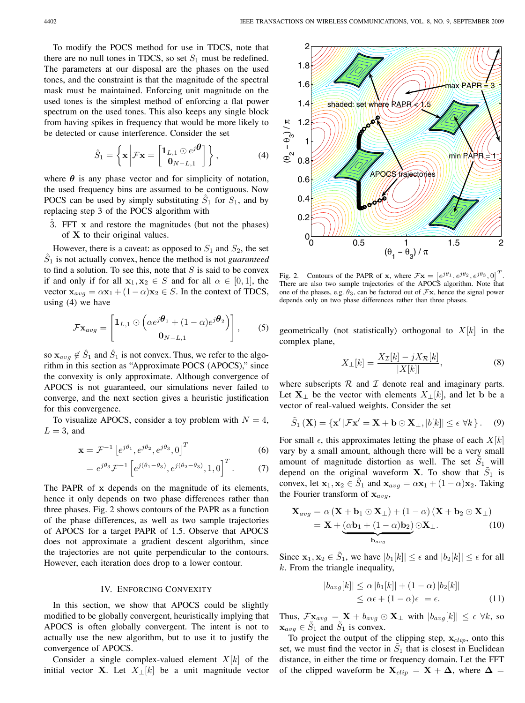To modify the POCS method for use in TDCS, note that there are no null tones in TDCS, so set  $S_1$  must be redefined. The parameters at our disposal are the phases on the used tones, and the constraint is that the magnitude of the spectral mask must be maintained. Enforcing unit magnitude on the used tones is the simplest method of enforcing a flat power spectrum on the used tones. This also keeps any single block from having spikes in frequency that would be more likely to be detected or cause interference. Consider the set

$$
\hat{S}_1 = \left\{ \mathbf{x} \middle| \mathcal{F} \mathbf{x} = \begin{bmatrix} \mathbf{1}_{L,1} \odot e^{j\boldsymbol{\theta}} \\ \mathbf{0}_{N-L,1} \end{bmatrix} \right\},\tag{4}
$$

where  $\theta$  is any phase vector and for simplicity of notation, the used frequency bins are assumed to be contiguous. Now POCS can be used by simply substituting  $S_1$  for  $S_1$ , and by replacing step 3 of the POCS algorithm with

ˆ3. FFT **x** and restore the magnitudes (but not the phases) of **X** to their original values.

However, there is a caveat: as opposed to  $S_1$  and  $S_2$ , the set  $\hat{S}_1$  is not actually convex, hence the method is not *guaranteed* to find a solution. To see this, note that  $S$  is said to be convex if and only if for all  $x_1, x_2 \in S$  and for all  $\alpha \in [0, 1]$ , the vector  $\mathbf{x}_{avg} = \alpha \mathbf{x}_1 + (1 - \alpha) \mathbf{x}_2 \in S$ . In the context of TDCS, using (4) we have

$$
\mathcal{F}\mathbf{x}_{avg} = \begin{bmatrix} \mathbf{1}_{L,1} \odot \left( \alpha e^{j\boldsymbol{\theta}_1} + (1-\alpha)e^{j\boldsymbol{\theta}_2} \right) \\ \mathbf{0}_{N-L,1} \end{bmatrix}, \qquad (5)
$$

so  $\mathbf{x}_{avg} \notin \hat{S}_1$  and  $\hat{S}_1$  is not convex. Thus, we refer to the algorithm in this section as "Approximate POCS (APOCS)," since the convexity is only approximate. Although convergence of APOCS is not guaranteed, our simulations never failed to converge, and the next section gives a heuristic justification for this convergence.

To visualize APOCS, consider a toy problem with  $N = 4$ ,  $L = 3$ , and

$$
\mathbf{x} = \mathcal{F}^{-1} \left[ e^{j\theta_1}, e^{j\theta_2}, e^{j\theta_3}, 0 \right]^T \tag{6}
$$

$$
= e^{j\theta_3} \mathcal{F}^{-1} \left[ e^{j(\theta_1 - \theta_3)}, e^{j(\theta_2 - \theta_3)}, 1, 0 \right]^T. \tag{7}
$$

The PAPR of **x** depends on the magnitude of its elements, hence it only depends on two phase differences rather than three phases. Fig. 2 shows contours of the PAPR as a function of the phase differences, as well as two sample trajectories of APOCS for a target PAPR of 1.5. Observe that APOCS does not approximate a gradient descent algorithm, since the trajectories are not quite perpendicular to the contours. However, each iteration does drop to a lower contour.

#### IV. ENFORCING CONVEXITY

In this section, we show that APOCS could be slightly modified to be globally convergent, heuristically implying that APOCS is often globally convergent. The intent is not to actually use the new algorithm, but to use it to justify the convergence of APOCS.

Consider a single complex-valued element  $X[k]$  of the initial vector **X**. Let  $X_{\perp}[k]$  be a unit magnitude vector



Fig. 2. Contours of the PAPR of **x**, where  $\mathcal{F}$ **x** =  $[e^{j\theta_1}, e^{j\theta_2}, e^{j\theta_3}, 0]^T$ . There are also two sample trajectories of the APOCS algorithm. Note that one of the phases, e.g.  $\theta_3$ , can be factored out of  $\mathcal{F}\mathbf{x}$ , hence the signal power depends only on two phase differences rather than three phases.

geometrically (not statistically) orthogonal to  $X[k]$  in the complex plane,

$$
X_{\perp}[k] = \frac{X_{\mathcal{I}}[k] - jX_{\mathcal{R}}[k]}{|X[k]|},\tag{8}
$$

where subscripts  $R$  and  $I$  denote real and imaginary parts. Let **X**<sub>⊥</sub> be the vector with elements  $X_{\perp}[k]$ , and let **b** be a vector of real-valued weights. Consider the set

$$
\tilde{S}_1(\mathbf{X}) = \{ \mathbf{x}' | \mathcal{F}\mathbf{x}' = \mathbf{X} + \mathbf{b} \odot \mathbf{X}_{\perp}, |b[k]| \le \epsilon \ \forall k \}.
$$
 (9)

For small  $\epsilon$ , this approximates letting the phase of each  $X[k]$ vary by a small amount, although there will be a very small amount of magnitude distortion as well. The set  $S_1$  will depend on the original waveform **X**. To show that  $S_1$  is convex, let  $\mathbf{x}_1, \mathbf{x}_2 \in S_1$  and  $\mathbf{x}_{avg} = \alpha \mathbf{x}_1 + (1 - \alpha) \mathbf{x}_2$ . Taking the Fourier transform of  $x_{avg}$ ,

$$
\mathbf{X}_{avg} = \alpha \left( \mathbf{X} + \mathbf{b}_1 \odot \mathbf{X}_\perp \right) + \left( 1 - \alpha \right) \left( \mathbf{X} + \mathbf{b}_2 \odot \mathbf{X}_\perp \right)
$$
  
=  $\mathbf{X} + \underbrace{(\alpha \mathbf{b}_1 + (1 - \alpha) \mathbf{b}_2)}_{\mathbf{b}_{avg}} \odot \mathbf{X}_\perp.$  (10)

Since  $\mathbf{x}_1, \mathbf{x}_2 \in \tilde{S}_1$ , we have  $|b_1[k]| \leq \epsilon$  and  $|b_2[k]| \leq \epsilon$  for all  $k$ . From the triangle inequality,

$$
|b_{avg}[k]| \leq \alpha |b_1[k]| + (1 - \alpha) |b_2[k]|
$$
  
\n
$$
\leq \alpha \epsilon + (1 - \alpha)\epsilon = \epsilon.
$$
 (11)

Thus,  $\mathcal{F} \mathbf{x}_{avg} = \mathbf{X} + b_{avg} \odot \mathbf{X}_{\perp}$  with  $|b_{avg}[k]| \leq \epsilon \ \forall k$ , so  $\mathbf{x}_{avg} \in S_1$  and  $S_1$  is convex.

To project the output of the clipping step,  $\mathbf{x}_{clip}$ , onto this set, we must find the vector in  $S_1$  that is closest in Euclidean distance, in either the time or frequency domain. Let the FFT of the clipped waveform be  $X_{clip} = X + \Delta$ , where  $\Delta =$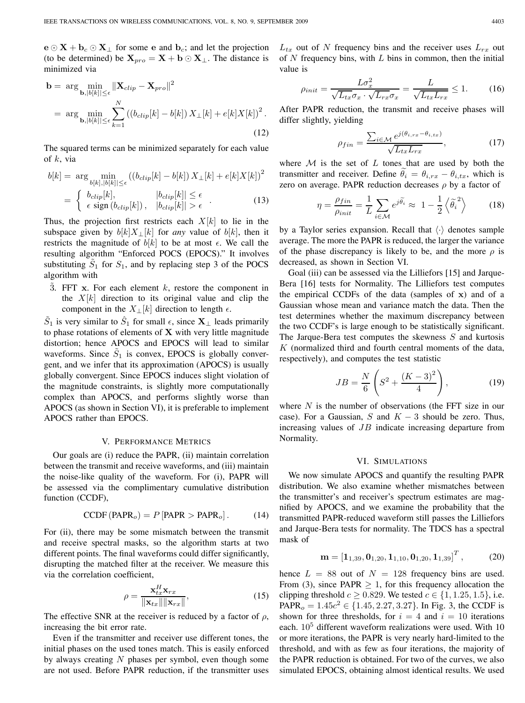$\mathbf{e} \odot \mathbf{X} + \mathbf{b}_c \odot \mathbf{X}_\perp$  for some **e** and  $\mathbf{b}_c$ ; and let the projection (to be determined) be  $X_{pro} = X + b \odot X_{\perp}$ . The distance is minimized via

$$
\mathbf{b} = \arg \min_{\mathbf{b}, |b[k]| \le \epsilon} \|\mathbf{X}_{clip} - \mathbf{X}_{pro}\|^2
$$
  
= 
$$
\arg \min_{\mathbf{b}, |b[k]| \le \epsilon} \sum_{k=1}^N \left( (b_{clip}[k] - b[k]) X_{\perp}[k] + e[k] X[k] \right)^2.
$$
 (12)

The squared terms can be minimized separately for each value of  $k$ , via

$$
b[k] = \arg\min_{b[k], |b[k]| \le \epsilon} ((b_{clip}[k] - b[k]) X_{\perp}[k] + e[k] X[k])^2
$$
  
= 
$$
\begin{cases} b_{clip}[k], & |b_{clip}[k]| \le \epsilon \\ \epsilon \text{ sign} (b_{clip}[k]), & |b_{clip}[k]| > \epsilon \end{cases}
$$
 (13)

Thus, the projection first restricts each  $X[k]$  to lie in the subspace given by  $b[k]X_{\perp}[k]$  for *any* value of  $b[k]$ , then it restricts the magnitude of  $b[k]$  to be at most  $\epsilon$ . We call the resulting algorithm "Enforced POCS (EPOCS)." It involves substituting  $S_1$  for  $S_1$ , and by replacing step 3 of the POCS algorithm with

 $\ddot{3}$ . FFT **x**. For each element  $k$ , restore the component in the  $X[k]$  direction to its original value and clip the component in the  $X_{\perp}[k]$  direction to length  $\epsilon$ .

 $\tilde{S}_1$  is very similar to  $\hat{S}_1$  for small  $\epsilon$ , since  $\mathbf{X}_{\perp}$  leads primarily to phase rotations of elements of **X** with very little magnitude distortion; hence APOCS and EPOCS will lead to similar waveforms. Since  $S_1$  is convex, EPOCS is globally convergent, and we infer that its approximation (APOCS) is usually globally convergent. Since EPOCS induces slight violation of the magnitude constraints, is slightly more computationally complex than APOCS, and performs slightly worse than APOCS (as shown in Section VI), it is preferable to implement APOCS rather than EPOCS.

# V. PERFORMANCE METRICS

Our goals are (i) reduce the PAPR, (ii) maintain correlation between the transmit and receive waveforms, and (iii) maintain the noise-like quality of the waveform. For (i), PAPR will be assessed via the complimentary cumulative distribution function (CCDF),

$$
CCDF (PAPRo) = P [PAPR > PAPRo]. \t(14)
$$

For (ii), there may be some mismatch between the transmit and receive spectral masks, so the algorithm starts at two different points. The final waveforms could differ significantly, disrupting the matched filter at the receiver. We measure this via the correlation coefficient,

$$
\rho = \frac{\mathbf{x}_{tx}^H \mathbf{x}_{rx}}{\|\mathbf{x}_{tx}\|\|\mathbf{x}_{rx}\|},\tag{15}
$$

The effective SNR at the receiver is reduced by a factor of  $\rho$ , increasing the bit error rate.

Even if the transmitter and receiver use different tones, the initial phases on the used tones match. This is easily enforced by always creating  $N$  phases per symbol, even though some are not used. Before PAPR reduction, if the transmitter uses

 $L_{tx}$  out of N frequency bins and the receiver uses  $L_{rx}$  out of  $N$  frequency bins, with  $L$  bins in common, then the initial value is

$$
\rho_{init} = \frac{L\sigma_x^2}{\sqrt{L_{tx}\sigma_x} \cdot \sqrt{L_{rx}\sigma_x}} = \frac{L}{\sqrt{L_{tx}L_{rx}}} \le 1.
$$
 (16)

After PAPR reduction, the transmit and receive phases will differ slightly, yielding

$$
\rho_{fin} = \frac{\sum_{i \in \mathcal{M}} e^{j(\theta_{i,rx} - \theta_{i,tx})}}{\sqrt{L_{tx} L_{rx}}},\tag{17}
$$

where  $M$  is the set of  $L$  tones that are used by both the transmitter and receiver. Define  $\theta_i = \theta_{i,rx} - \theta_{i,tx}$ , which is zero on average. PAPR reduction decreases  $\rho$  by a factor of

$$
\eta = \frac{\rho_{fin}}{\rho_{init}} = \frac{1}{L} \sum_{i \in \mathcal{M}} e^{j\widetilde{\theta}_i} \approx 1 - \frac{1}{2} \left\langle \widetilde{\theta}_i^2 \right\rangle \tag{18}
$$

by a Taylor series expansion. Recall that  $\langle \cdot \rangle$  denotes sample average. The more the PAPR is reduced, the larger the variance of the phase discrepancy is likely to be, and the more  $\rho$  is decreased, as shown in Section VI.

Goal (iii) can be assessed via the Lilliefors [15] and Jarque-Bera [16] tests for Normality. The Lilliefors test computes the empirical CCDFs of the data (samples of **x**) and of a Gaussian whose mean and variance match the data. Then the test determines whether the maximum discrepancy between the two CCDF's is large enough to be statistically significant. The Jarque-Bera test computes the skewness  $S$  and kurtosis  $K$  (normalized third and fourth central moments of the data, respectively), and computes the test statistic

$$
JB = \frac{N}{6} \left( S^2 + \frac{(K-3)^2}{4} \right),
$$
 (19)

where  $N$  is the number of observations (the FFT size in our case). For a Gaussian, S and  $K - 3$  should be zero. Thus, increasing values of  $JB$  indicate increasing departure from Normality.

#### VI. SIMULATIONS

We now simulate APOCS and quantify the resulting PAPR distribution. We also examine whether mismatches between the transmitter's and receiver's spectrum estimates are magnified by APOCS, and we examine the probability that the transmitted PAPR-reduced waveform still passes the Lilliefors and Jarque-Bera tests for normality. The TDCS has a spectral mask of

$$
\mathbf{m} = \left[\mathbf{1}_{1,39}, \mathbf{0}_{1,20}, \mathbf{1}_{1,10}, \mathbf{0}_{1,20}, \mathbf{1}_{1,39}\right]^T, \tag{20}
$$

hence  $L = 88$  out of  $N = 128$  frequency bins are used. From (3), since PAPR  $\geq$  1, for this frequency allocation the clipping threshold  $c \ge 0.829$ . We tested  $c \in \{1, 1.25, 1.5\}$ , i.e. PAPR<sub>o</sub> =  $1.45c^2 \in \{1.45, 2.27, 3.27\}$ . In Fig. 3, the CCDF is shown for three thresholds, for  $i = 4$  and  $i = 10$  iterations each.  $10<sup>5</sup>$  different waveform realizations were used. With 10 or more iterations, the PAPR is very nearly hard-limited to the threshold, and with as few as four iterations, the majority of the PAPR reduction is obtained. For two of the curves, we also simulated EPOCS, obtaining almost identical results. We used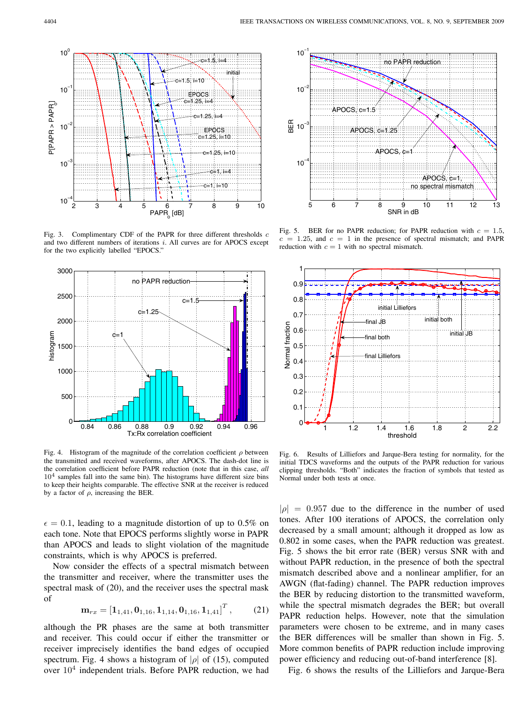

Fig. 3. Complimentary CDF of the PAPR for three different thresholds  $c$ and two different numbers of iterations  $i$ . All curves are for APOCS except for the two explicitly labelled "EPOCS."



Fig. 4. Histogram of the magnitude of the correlation coefficient  $\rho$  between the transmitted and received waveforms, after APOCS. The dash-dot line is the correlation coefficient before PAPR reduction (note that in this case, *all*  $10<sup>4</sup>$  samples fall into the same bin). The histograms have different size bins to keep their heights comparable. The effective SNR at the receiver is reduced by a factor of  $\rho$ , increasing the BER.

 $\epsilon = 0.1$ , leading to a magnitude distortion of up to 0.5% on each tone. Note that EPOCS performs slightly worse in PAPR than APOCS and leads to slight violation of the magnitude constraints, which is why APOCS is preferred.

Now consider the effects of a spectral mismatch between the transmitter and receiver, where the transmitter uses the spectral mask of (20), and the receiver uses the spectral mask of

$$
\mathbf{m}_{rx} = \left[\mathbf{1}_{1,41}, \mathbf{0}_{1,16}, \mathbf{1}_{1,14}, \mathbf{0}_{1,16}, \mathbf{1}_{1,41}\right]^T, \tag{21}
$$

although the PR phases are the same at both transmitter and receiver. This could occur if either the transmitter or receiver imprecisely identifies the band edges of occupied spectrum. Fig. 4 shows a histogram of | $\rho$ | of (15), computed over  $10<sup>4</sup>$  independent trials. Before PAPR reduction, we had



Fig. 5. BER for no PAPR reduction; for PAPR reduction with  $c = 1.5$ ,  $c = 1.25$ , and  $c = 1$  in the presence of spectral mismatch; and PAPR reduction with  $c = 1$  with no spectral mismatch.



Fig. 6. Results of Lilliefors and Jarque-Bera testing for normality, for the initial TDCS waveforms and the outputs of the PAPR reduction for various clipping thresholds. "Both" indicates the fraction of symbols that tested as Normal under both tests at once.

 $|\rho| = 0.957$  due to the difference in the number of used tones. After 100 iterations of APOCS, the correlation only decreased by a small amount; although it dropped as low as 0.802 in some cases, when the PAPR reduction was greatest. Fig. 5 shows the bit error rate (BER) versus SNR with and without PAPR reduction, in the presence of both the spectral mismatch described above and a nonlinear amplifier, for an AWGN (flat-fading) channel. The PAPR reduction improves the BER by reducing distortion to the transmitted waveform, while the spectral mismatch degrades the BER; but overall PAPR reduction helps. However, note that the simulation parameters were chosen to be extreme, and in many cases the BER differences will be smaller than shown in Fig. 5. More common benefits of PAPR reduction include improving power efficiency and reducing out-of-band interference [8].

Fig. 6 shows the results of the Lilliefors and Jarque-Bera